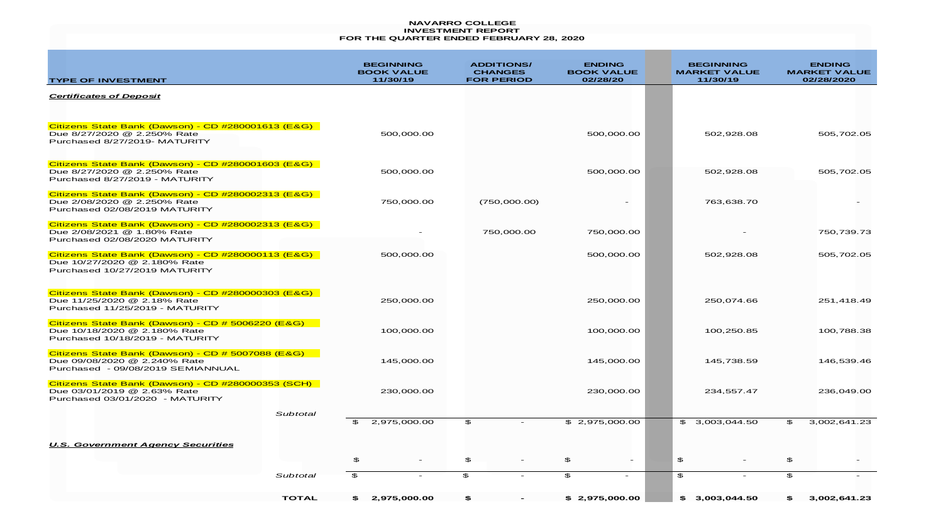#### **NAVARRO COLLEGE INVESTMENT REPORT FOR THE QUARTER ENDED FEBRUARY 28, 2020**

| <b>TYPE OF INVESTMENT</b>                                                                                              |              |              | <b>BEGINNING</b><br><b>BOOK VALUE</b><br>11/30/19 |              | <b>ADDITIONS/</b><br><b>CHANGES</b><br><b>FOR PERIOD</b> | <b>ENDING</b><br><b>BOOK VALUE</b><br>02/28/20 | <b>BEGINNING</b><br><b>MARKET VALUE</b><br>11/30/19 |                | <b>ENDING</b><br><b>MARKET VALUE</b><br>02/28/2020 |
|------------------------------------------------------------------------------------------------------------------------|--------------|--------------|---------------------------------------------------|--------------|----------------------------------------------------------|------------------------------------------------|-----------------------------------------------------|----------------|----------------------------------------------------|
| <b>Certificates of Deposit</b>                                                                                         |              |              |                                                   |              |                                                          |                                                |                                                     |                |                                                    |
| Citizens State Bank (Dawson) - CD #280001613 (E&G)<br>Due 8/27/2020 @ 2.250% Rate<br>Purchased 8/27/2019- MATURITY     |              |              | 500,000.00                                        |              |                                                          | 500,000.00                                     | 502,928.08                                          |                | 505,702.05                                         |
| Citizens State Bank (Dawson) - CD #280001603 (E&G)<br>Due 8/27/2020 @ 2.250% Rate<br>Purchased 8/27/2019 - MATURITY    |              |              | 500,000.00                                        |              |                                                          | 500,000.00                                     | 502,928.08                                          |                | 505,702.05                                         |
| Citizens State Bank (Dawson) - CD #280002313 (E&G)<br>Due 2/08/2020 @ 2.250% Rate<br>Purchased 02/08/2019 MATURITY     |              |              | 750,000.00                                        |              | (750,000.00)                                             |                                                | 763,638.70                                          |                |                                                    |
| Citizens State Bank (Dawson) - CD #280002313 (E&G)<br>Due 2/08/2021 @ 1.80% Rate<br>Purchased 02/08/2020 MATURITY      |              |              |                                                   |              | 750,000.00                                               | 750,000.00                                     |                                                     |                | 750,739.73                                         |
| Citizens State Bank (Dawson) - CD #280000113 (E&G)<br>Due 10/27/2020 @ 2.180% Rate<br>Purchased 10/27/2019 MATURITY    |              |              | 500,000.00                                        |              |                                                          | 500,000.00                                     | 502,928.08                                          |                | 505,702.05                                         |
| Citizens State Bank (Dawson) - CD #280000303 (E&G)<br>Due 11/25/2020 @ 2.18% Rate<br>Purchased 11/25/2019 - MATURITY   |              |              | 250,000.00                                        |              |                                                          | 250,000.00                                     | 250,074.66                                          |                | 251,418.49                                         |
| Citizens State Bank (Dawson) - CD # 5006220 (E&G)<br>Due 10/18/2020 @ 2.180% Rate<br>Purchased 10/18/2019 - MATURITY   |              |              | 100,000.00                                        |              |                                                          | 100,000.00                                     | 100,250.85                                          |                | 100,788.38                                         |
| Citizens State Bank (Dawson) - CD # 5007088 (E&G)<br>Due 09/08/2020 @ 2.240% Rate<br>Purchased - 09/08/2019 SEMIANNUAL |              |              | 145,000.00                                        |              |                                                          | 145,000.00                                     | 145,738.59                                          |                | 146,539.46                                         |
| Citizens State Bank (Dawson) - CD #280000353 (SCH)<br>Due 03/01/2019 @ 2.63% Rate<br>Purchased 03/01/2020 - MATURITY   |              |              | 230,000.00                                        |              |                                                          | 230,000.00                                     | 234,557.47                                          |                | 236,049.00                                         |
|                                                                                                                        | Subtotal     | $\mathbf{E}$ | 2,975,000.00                                      | \$           |                                                          | \$2,975,000.00                                 | \$3,003,044.50                                      | \$             | 3,002,641.23                                       |
| <b>U.S. Government Agency Securities</b>                                                                               |              |              |                                                   |              |                                                          |                                                |                                                     |                |                                                    |
|                                                                                                                        |              | \$           | $\overline{\phantom{a}}$                          | \$           |                                                          | \$<br>$-$                                      | \$                                                  | \$             |                                                    |
|                                                                                                                        | Subtotal     | $\mathbf{E}$ |                                                   | $\mathbf{E}$ |                                                          | $\mathfrak{P}$<br>$\overline{\phantom{a}}$     | £.                                                  | $\mathfrak{P}$ |                                                    |
|                                                                                                                        | <b>TOTAL</b> | SS.          | 2,975,000.00                                      | £.           |                                                          | \$2,975,000.00                                 | \$3,003,044.50                                      | \$G.           | 3,002,641.23                                       |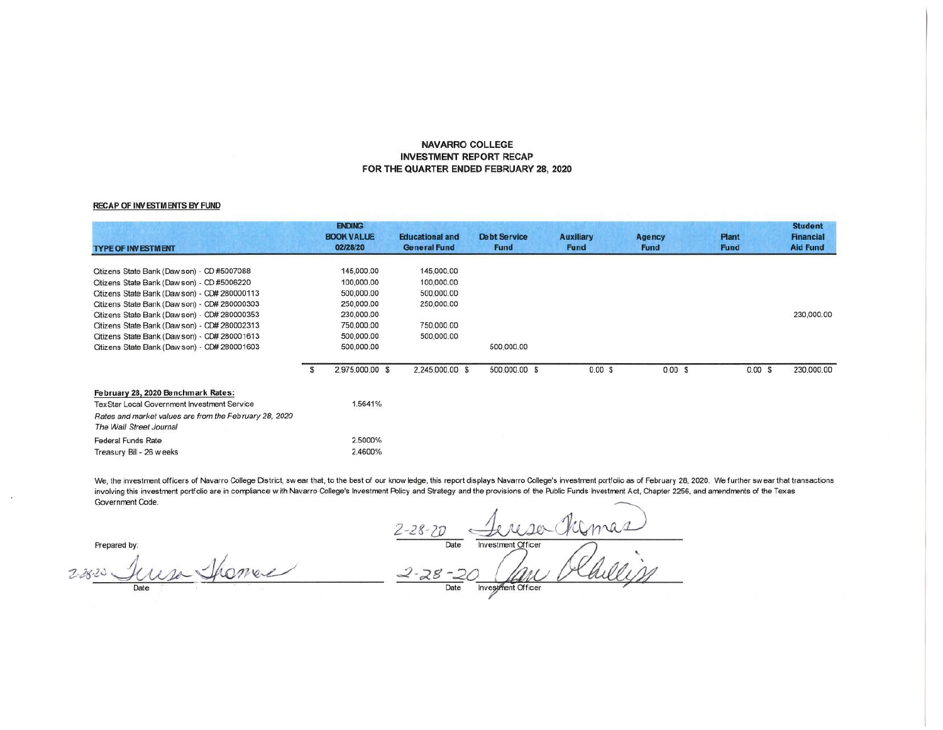### **NAVARRO COLLEGE INVESTMENT REPORT RECAP** FOR THE QUARTER ENDED FEBRUARY 28, 2020

#### RECAP OF INVESTMENTS BY FUND

| <b>TYPE OF INVESTMENT</b>                              | <b>ENDING</b><br><b>BOOK VALUE</b><br>02/28/20 | <b>Educational and</b><br><b>General Fund</b> | <b>Debt Service</b><br><b>Fund</b> | <b>Auxiliary</b><br><b>Fund</b> | Agency<br><b>Fund</b> | <b>Plant</b><br>Fund | <b>Student</b><br><b>Financial</b><br><b>Aid Fund</b> |
|--------------------------------------------------------|------------------------------------------------|-----------------------------------------------|------------------------------------|---------------------------------|-----------------------|----------------------|-------------------------------------------------------|
| Citizens State Bank (Daw son) - CD #5007088            | 145,000.00                                     | 145,000.00                                    |                                    |                                 |                       |                      |                                                       |
| Citizens State Bank (Daw son) - CD #5006220            | 100,000.00                                     | 100,000.00                                    |                                    |                                 |                       |                      |                                                       |
| Citizens State Bank (Daw son) - CD# 280000113          | 500,000.00                                     | 500,000.00                                    |                                    |                                 |                       |                      |                                                       |
| Citizens State Bank (Daw son) - CD# 280000303          | 250,000.00                                     | 250,000.00                                    |                                    |                                 |                       |                      |                                                       |
| Citizens State Bank (Daw son) - CD# 280000353          | 230,000.00                                     |                                               |                                    |                                 |                       |                      | 230,000.00                                            |
| Citizens State Bank (Daw son) - CD# 280002313          | 750,000.00                                     | 750,000.00                                    |                                    |                                 |                       |                      |                                                       |
| Citizens State Bank (Daw son) - CD# 280001613          | 500,000.00                                     | 500,000.00                                    |                                    |                                 |                       |                      |                                                       |
| Citizens State Bank (Daw son) - CD# 280001603          | 500,000.00                                     |                                               | 500,000.00                         |                                 |                       |                      |                                                       |
|                                                        | \$<br>2,975,000.00 \$                          | 2,245,000.00 \$                               | 500,000.00 \$                      | $0.00$ \$                       | 0.00 S                | 0.00S                | 230,000.00                                            |
| February 28, 2020 Benchmark Rates:                     |                                                |                                               |                                    |                                 |                       |                      |                                                       |
| TexStar Local Government Investment Service            | 1.5641%                                        |                                               |                                    |                                 |                       |                      |                                                       |
| Rates and market values are from the February 28, 2020 |                                                |                                               |                                    |                                 |                       |                      |                                                       |
| The Wall Street Journal                                |                                                |                                               |                                    |                                 |                       |                      |                                                       |
| <b>Federal Funds Rate</b>                              | 2.5000%                                        |                                               |                                    |                                 |                       |                      |                                                       |
| Treasury Bill - 26 w eeks                              | 2.4600%                                        |                                               |                                    |                                 |                       |                      |                                                       |

We, the investment officers of Navarro College District, swear that, to the best of our know ledge, this report displays Navarro College's investment portfolio as of February 28, 2020. We further swear that transactions involving this investment portfolio are in compliance with Navarro College's Investment Policy and Strategy and the provisions of the Public Funds Investment Act, Chapter 2256, and amendments of the Texas Government Code.

Prepared by:

Investment Officer Namas  $2 - 28 - 20$ Date  $2 - 28 - 20$  Investment Officer

Juisa  $2 - 28 - 20$ Date

Thomas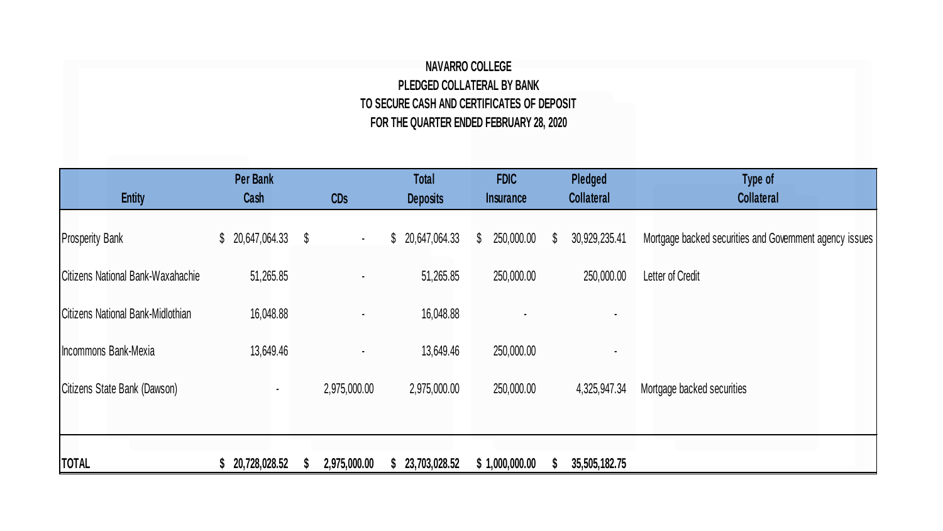## **NAVARRO COLLEGE PLEDGED COLLATERAL BY BANK TO SECURE CASH AND CERTIFICATES OF DEPOSIT FOR THE QUARTER ENDED FEBRUARY 28, 2020**

| <b>Entity</b>                     | <b>Per Bank</b><br>Cash | <b>CDs</b>   | <b>Total</b><br><b>Deposits</b> | <b>FDIC</b><br>Insurance | Pledged<br><b>Collateral</b> | Type of<br><b>Collateral</b>                            |
|-----------------------------------|-------------------------|--------------|---------------------------------|--------------------------|------------------------------|---------------------------------------------------------|
| <b>Prosperity Bank</b>            | \$20,647,064.33         | $\sim$       | \$20,647,064.33                 | 250,000.00<br>\$         | 30,929,235.41<br>S           | Mortgage backed securities and Government agency issues |
| Citizens National Bank-Waxahachie | 51,265.85               | ٠            | 51,265.85                       | 250,000.00               | 250,000.00                   | Letter of Credit                                        |
| Citizens National Bank-Midlothian | 16,048.88               |              | 16,048.88                       |                          |                              |                                                         |
| Incommons Bank-Mexia              | 13,649.46               |              | 13,649.46                       | 250,000.00               |                              |                                                         |
| Citizens State Bank (Dawson)      | $\blacksquare$          | 2,975,000.00 | 2,975,000.00                    | 250,000.00               | 4,325,947.34                 | Mortgage backed securities                              |
|                                   |                         |              |                                 |                          |                              |                                                         |
| <b>TOTAL</b>                      | 20,728,028.52           | 2,975,000.00 | 23,703,028.52                   | \$1,000,000.00           | 35,505,182.75                |                                                         |